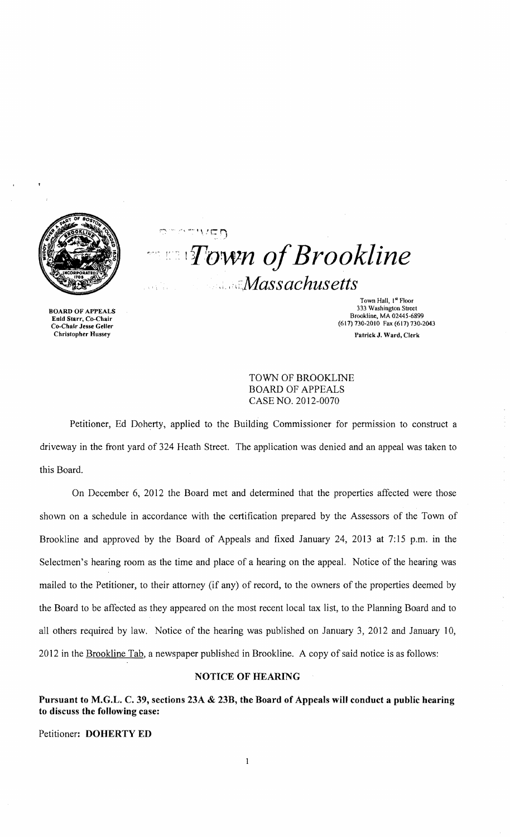

BOARD OF APPEALS Enid Starr, Co-Chair Co-Chair Jesse Geller Christopher Hussey

 $\tau \sim$  $\sqrt{2}$ .. )  $\blacksquare$  *Town of Brookline* .i *,',i'Massachusetts* 

> Town Hall, 1<sup>st</sup> Floor 333 Washington Street Brookline, MA 02445-6899 (617) 730-2010 Fax (617) 730-2043 Patrick J. Ward, Clerk

TOWN OF BROOKLINE BOARD OF APPEALS CASE NO. 2012-0070

Petitioner, Ed Doherty, applied to the Building Commissioner for permission to construct a driveway in the front yard of 324 Heath Street. The application was denied and an appeal was taken to this Board.

On December 6, 2012 the Board met and determined that the properties affected were those shown on a schedule in accordance with the certification prepared by the Assessors of the Town of Brookline and approved by the Board of Appeals and fixed January 24, 2013 at 7:15 p.m. in the Selectmen's hearing room as the time and place of a hearing on the appeal. Notice of the hearing was mailed to the Petitioner, to their attorney (if any) of record, to the owners of the properties deemed by the Board to be affected as they appeared on the most recent local tax list, to the Planning Board and to all others required by law. Notice of the hearing was published on January 3, 2012 and January 10, 2012 in the Brookline Tab, a newspaper published in Brookline. A copy of said notice is as follows:

## NOTICE OF HEARING

Pursuant to M.G.L. C. 39, sections 23A & 23B, the Board of Appeals will conduct a public hearing to discuss the following case:

Petitioner: DOHERTY ED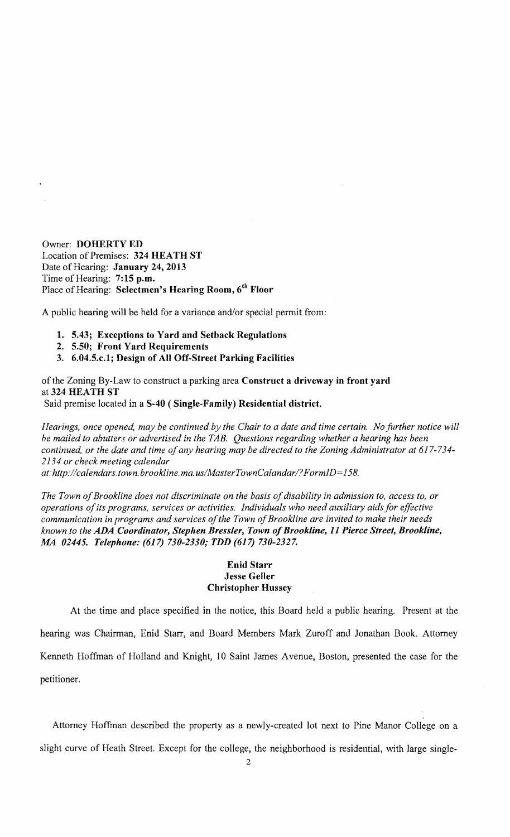Owner: DOHERTY ED Location of Premises: 324 HEATH ST Date of Hearing: January 24, 2013 Time of Hearing: 7:15 p.m. Place of Hearing: Selectmen's Hearing Room, 6<sup>th</sup> Floor

A public hearing will be held for a variance and/or special permit from:

- 1. 5.43; Exceptions to Yard and Setback Regulations
- 2. 5.50; Front Yard Requirements
- 3. 6.04.5.c.l; Design of All Off-Street Parking Facilities

of the Zoning By-Law to construct a parking area Construct a driveway in front yard at 324 HEATH ST Said premise located in a S-40 (Single-Family) Residential district.

*Hearings, once opened, may be continued by the Chair to a date and time certain. No further notice will be mailed to abutters or advertised in the TAB. Questions regarding whether a hearing has been continued, or the date and time of any hearing may be directed to the Zoning Administrator at 617-734-*

*2134 or check meeting calendar at:http://calendars. town. brookline. ma.usIMasterTownCalandarl? FormJD= 158.* 

The Town of Brookline does not discriminate on the basis of disability in admission to, access to, or *operations ofits programs, services or activities. Individuals who need auxiliary aids for effective*  communication in programs and services of the Town of Brookline are invited to make their needs *known to the ADA Coordinator, Stephen Bressler, Town ofBrookline,* 11 *Pierce Street, Brookline, MA 02445. Telephone:* (617) *730-2330; TDD* (617) *730-2327.* 

## Enid Starr Jesse Geller Christopher Hussey

At the time and place specified in the notice, this Board held a public hearing. Present at the hearing was Chairman, Enid Starr, and Board Members Mark Zuroff and Jonathan Book. Attorney Kenneth Hoffman of Holland and Knight, 10 Saint James A venue, Boston, presented the case for the petitioner.

Attorney Hoffman described the property as a newly-created lot next to Pine Manor College on a slight curve of Heath Street. Except for the college, the neighborhood is residential, with large single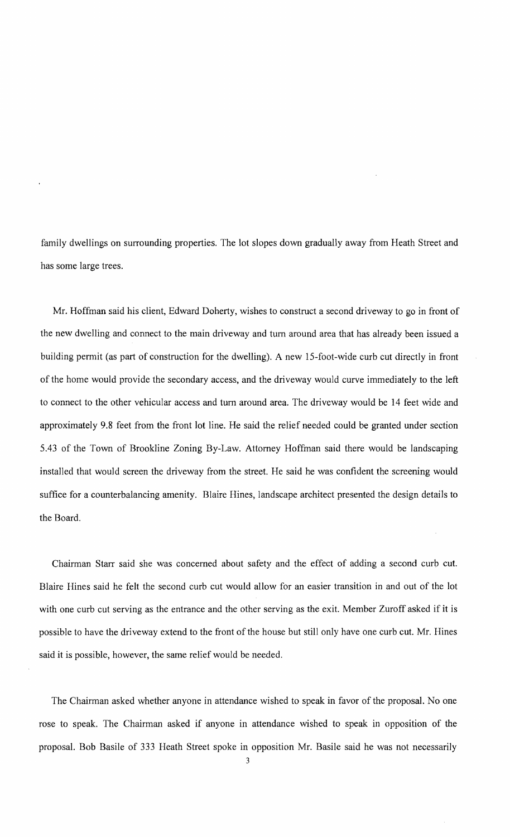family dwellings on surrounding properties. The lot slopes down gradually away from Heath Street and has some large trees.

Mr. Hoffman said his client, Edward Doherty, wishes to construct a second driveway to go in front of the new dwelling and connect to the main driveway and tum around area that has already been issued a building permit (as part of construction for the dwelling). A new IS-foot-wide curb cut directly in front of the home would provide the secondary access, and the driveway would curve immediately to the left to connect to the other vehicular access and tum around area. The driveway would be 14 feet wide and approximately 9.8 feet from the front lot line. He said the relief needed could be granted under section *5.43* of the Town of Brookline Zoning By-Law. Attorney Hoffman said there would be landscaping installed that would screen the driveway from the street. He said he was confident the screening would suffice for a counterbalancing amenity. Blaire Hines, landscape architect presented the design details to the Board.

Chairman Starr said she was concerned about safety and the effect of adding a second curb cut. Blaire Hines said he felt the second curb cut would allow for an easier transition in and out of the lot with one curb cut serving as the entrance and the other serving as the exit. Member Zuroff asked if it is possible to have the driveway extend to the front of the house but still only have one curb cut. Mr. Hines said it is possible, however, the same relief would be needed.

The Chairman asked whether anyone in attendance wished to speak in favor of the proposal. No one rose to speak. The Chairman asked if anyone in attendance wished to speak in opposition of the proposal. Bob Basile of 333 Heath Street spoke in opposition Mr. Basile said he was not necessarily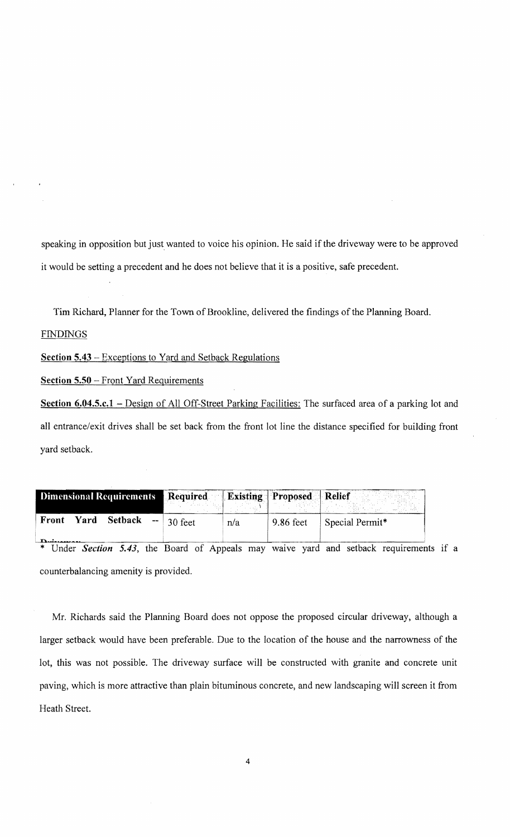speaking in opposition but just wanted to voice his opinion. He said if the driveway were to be approved it would be setting a precedent and he does not believe that it is a positive, safe precedent.

Tim Richard, Planner for the Town of Brookline, delivered the findings of the Planning Board.

## **FINDINGS**

**Section 5.43** - Exceptions to Yard and Setback Regulations

**Section 5.50** - Front Yard Requirements

**Section 6.04.5.c.1** - Design of All Off-Street Parking Facilities: The surfaced area of a parking lot and all entrance/exit drives shall be set back from the front lot line the distance specified for building front yard setback.

| Dimensional Requirements Required Existing Proposed Relief  |         |     |           | .               |
|-------------------------------------------------------------|---------|-----|-----------|-----------------|
| Front<br><b>Setback</b><br>Yard<br>$\overline{\phantom{a}}$ | 30 feet | n/a | 9.86 feet | Special Permit* |

Under *Section 5.43*, the Board of Appeals may waive yard and setback requirements if a counterbalancing amenity is provided.

Mr. Richards said the Planning Board does not oppose the proposed circular driveway, although a larger setback would have been preferable. Due to the location of the house and the narrowness of the lot, this was not possible. The driveway surface will be constructed with granite and concrete unit paving, which is more attractive than plain bituminous concrete, and new landscaping will screen it from Heath Street.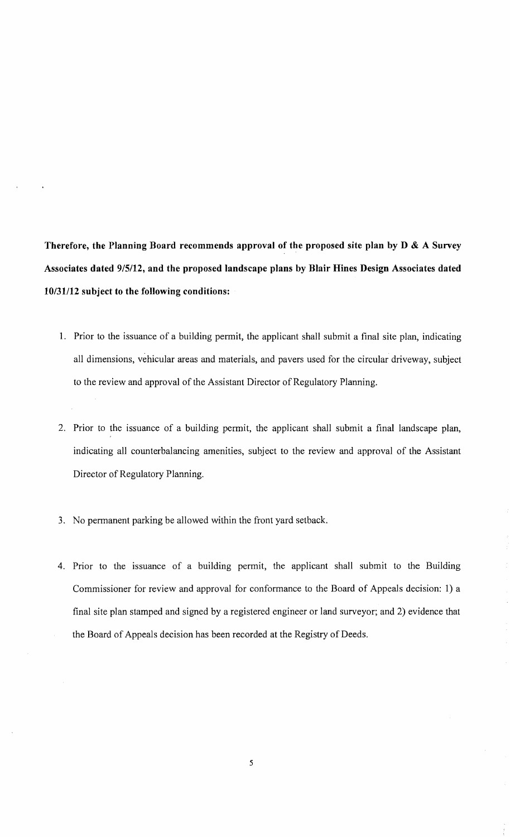**Therefore, the Planning Board recommends approval of the proposed site plan by D & A Survey Associates dated 9/5/12, and the proposed landscape plans by Blair Hines Design Associates dated 10/31112 subject to the following conditions:** 

- 1. Prior to the issuance of a building permit, the applicant shall submit a final site plan, indicating all dimensions, vehicular areas and materials, and pavers used for the circular driveway, subject to the review and approval of the Assistant Director of Regulatory Planning.
- 2. Prior to the issuance of a building permit, the applicant shall submit a final landscape plan, indicating all counterbalancing amenities, subject to the review and approval of the Assistant Director of Regulatory Planning.
- 3. No permanent parking be allowed within the front yard setback.
- 4. Prior to the issuance of a building permit, the applicant shall submit to the Building Commissioner for review and approval for conformance to the Board of Appeals decision: 1) a final site plan stamped and signed by a registered engineer or land surveyor; and 2) evidence that the Board of Appeals decision has been recorded at the Registry of Deeds.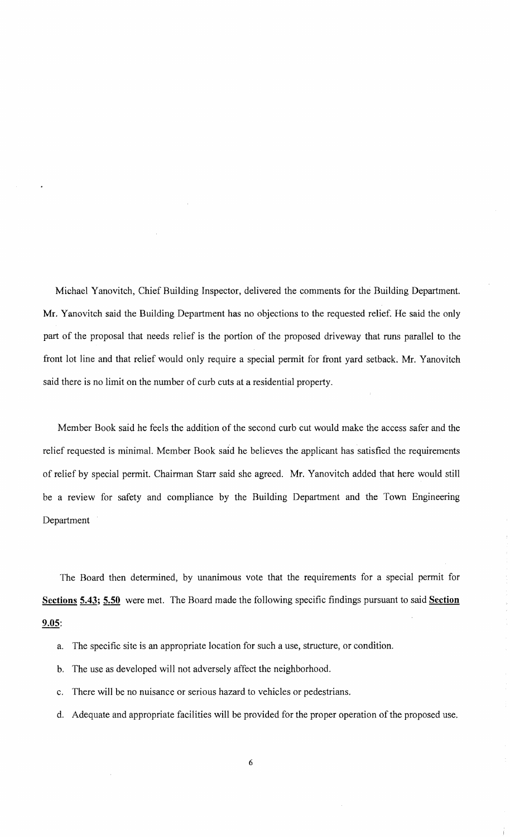Michael Yanovitch, Chief Building Inspector, delivered the comments for the Building Department. Mr. Yanovitch said the Building Department has no objections to the requested relief. He said the only part of the proposal that needs relief is the portion of the proposed driveway that runs parallel to the front lot line and that relief would only require a special permit for front yard setback. Mr. Yanovitch said there is no limit on the number of curb cuts at a residential property.

Member Book said he feels the addition of the second curb cut would make the access safer and the relief requested is minimal. Member Book said he believes the applicant has satisfied the requirements of relief by special permit. Chairman Starr said she agreed. Mr. Yanovitch added that here would still be a review for safety and compliance by the Building Department and the Town Engineering Department

The Board then determined, by unanimous vote that the requirements for a special permit for Sections 5.43; 5.50 were met. The Board made the following specific findings pursuant to said Section 9.05:

- a. The specific site is an appropriate location for such a use, structure, or condition.
- b. The use as developed will not adversely affect the neighborhood.
- c. There will be no nuisance or serious hazard to vehicles or pedestrians.
- d. Adequate and appropriate facilities will be provided for the proper operation of the proposed use.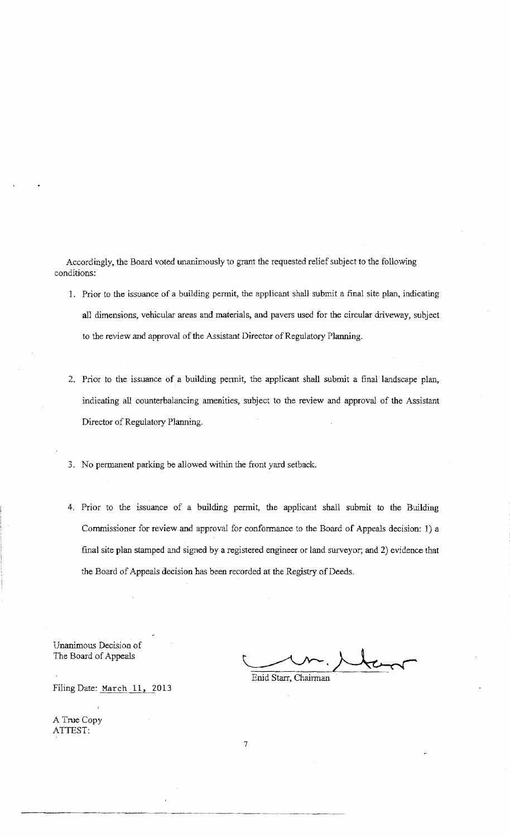Accordingly, the Board voted unanimously to grant the requested relief subject to the following conditions:

- 1. Prior to the issuance of a building permit, the applicant shall submit a final site plan, indicating all dimensions, vehicular areas and materials, and pavers used for the circular driveway, subject to the review and approval of the Assistant Director of Regulatory Planning.
- 2. Prior to the issuance of a building permit, the applicant shall submit a final landscape plan, indicating all counterbalancing amenities, subject to the review and approval of the Assistant Director of Regulatory Planning.
- 3. No permanent parking be allowed within the front yard setback.
- 4. Prior to the issuance of a building permit, the applicant shall submit to the Building Commissioner for review and approval for conformance to the Board of Appeals decision: 1) a final site plan stamped and signed by a registered engineer or land surveyor; and 2) evidence that the Board of Appeals decision has been recorded at the Registry of Deeds.

Unanimous Decision of The Board of Appeals

Enid Starr, Chairman

Filing Date: March 11, 2013

A True Copy ATTEST:

7